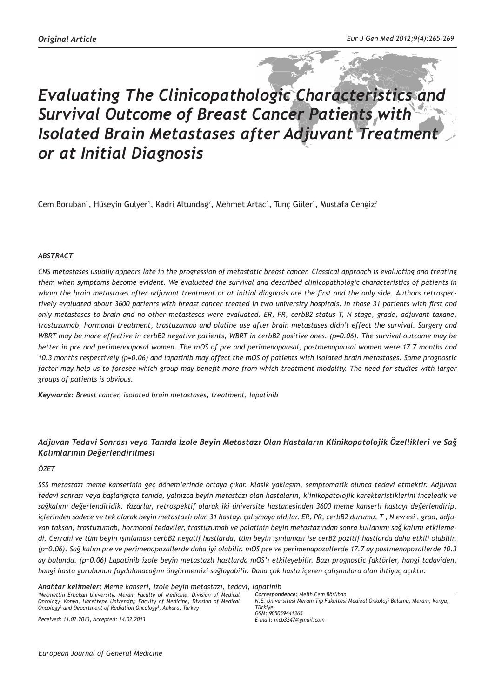# *Evaluating The Clinicopathologic Characteristics and Survival Outcome of Breast Cancer Patients with Isolated Brain Metastases after Adjuvant Treatment or at Initial Diagnosis*

Cem Boruban<sup>1</sup>, Hüseyin Gulyer<sup>1</sup>, Kadri Altundag<sup>2</sup>, Mehmet Artac<sup>1</sup>, Tunç Güler<sup>1</sup>, Mustafa Cengiz<sup>2</sup>

#### *ABSTRACT*

*CNS metastases usually appears late in the progression of metastatic breast cancer. Classical approach is evaluating and treating them when symptoms become evident. We evaluated the survival and described clinicopathologic characteristics of patients in whom the brain metastases after adjuvant treatment or at initial diagnosis are the first and the only side. Authors retrospectively evaluated about 3600 patients with breast cancer treated in two university hospitals. In those 31 patients with first and only metastases to brain and no other metastases were evaluated. ER, PR, cerbB2 status T, N stage, grade, adjuvant taxane, trastuzumab, hormonal treatment, trastuzumab and platine use after brain metastases didn't effect the survival. Surgery and WBRT may be more effective in cerbB2 negative patients, WBRT in cerbB2 positive ones. (p=0.06). The survival outcome may be better in pre and perimenouposal women. The mOS of pre and perimenopausal, postmenopausal women were 17.7 months and 10.3 months respectively (p=0.06) and lapatinib may affect the mOS of patients with isolated brain metastases. Some prognostic*  factor may help us to foresee which group may benefit more from which treatment modality. The need for studies with larger *groups of patients is obvious.* 

*Keywords: Breast cancer, isolated brain metastases, treatment, lapatinib*

## *Adjuvan Tedavi Sonrası veya Tanıda İzole Beyin Metastazı Olan Hastaların Klinikopatolojik Özellikleri ve Sağ Kalımlarının Değerlendirilmesi*

#### *ÖZET*

*SSS metastazı meme kanserinin geç dönemlerinde ortaya çıkar. Klasik yaklaşım, semptomatik olunca tedavi etmektir. Adjuvan tedavi sonrası veya başlangıçta tanıda, yalnızca beyin metastazı olan hastaların, klinikopatolojik karekteristiklerini inceledik ve sağkalımı değerlendiridik. Yazarlar, retrospektif olarak iki üniversite hastanesinden 3600 meme kanserli hastayı değerlendirip, içlerinden sadece ve tek olarak beyin metastazlı olan 31 hastayı çalışmaya aldılar. ER, PR, cerbB2 durumu, T , N evresi , grad, adjuvan taksan, trastuzumab, hormonal tedaviler, trastuzumab ve palatinin beyin metastazından sonra kullanımı sağ kalımı etkilemedi. Cerrahi ve tüm beyin ışınlaması cerbB2 negatif hastlarda, tüm beyin ışınlaması ise cerB2 pozitif hastlarda daha etkili olabilir. (p=0.06). Sağ kalım pre ve perimenapozallerde daha iyi olabilir. mOS pre ve perimenapozallerde 17.7 ay postmenapozallerde 10.3 ay bulundu. (p=0.06) Lapatinib izole beyin metastazlı hastlarda mOS'ı etkileyebilir. Bazı prognostic faktörler, hangi tadaviden, hangi hasta gurubunun faydalanacağını öngörmemizi sağlayabilir. Daha çok hasta içeren çalışmalara olan ihtiyaç açıktır.*

*Anahtar kelimeler: Meme kanseri, izole beyin metastazı, tedavi, lapatinib* 

<sup>1</sup> Necmettin Erbakan University, Meram Faculty of Medicine, Division of Medical *Oncology, Konya, Hacettepe University, Faculty of Medicine, Division of Medical Oncology2 and Department of Radiation Oncology<sup>3</sup> , Ankara, Turkey*

*Correspondence: Melih Cem Börüban N.E. Üniversitesi Meram Tıp Fakültesi Medikal Onkoloji Bölümü, Meram, Konya, Türkiye GSM: 905059441365 E-mail: mcb3247@gmail.com*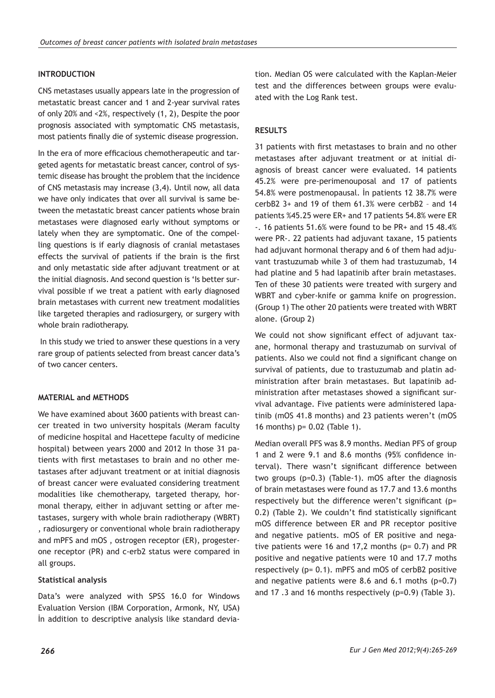# **INTRODUCTION**

CNS metastases usually appears late in the progression of metastatic breast cancer and 1 and 2-year survival rates of only 20% and <2%, respectively (1, 2), Despite the poor prognosis associated with symptomatic CNS metastasis, most patients finally die of systemic disease progression.

In the era of more efficacious chemotherapeutic and targeted agents for metastatic breast cancer, control of systemic disease has brought the problem that the incidence of CNS metastasis may increase (3,4). Until now, all data we have only indicates that over all survival is same between the metastatic breast cancer patients whose brain metastases were diagnosed early without symptoms or lately when they are symptomatic. One of the compelling questions is if early diagnosis of cranial metastases effects the survival of patients if the brain is the first and only metastatic side after adjuvant treatment or at the initial diagnosis. And second question is 'Is better survival possible ıf we treat a patient with early diagnosed brain metastases with current new treatment modalities like targeted therapies and radiosurgery, or surgery with whole brain radiotherapy.

 In this study we tried to answer these questions in a very rare group of patients selected from breast cancer data's of two cancer centers.

# **MATERIAL and METHODS**

We have examined about 3600 patients with breast cancer treated in two university hospitals (Meram faculty of medicine hospital and Hacettepe faculty of medicine hospital) between years 2000 and 2012 In those 31 patients with first metastases to brain and no other metastases after adjuvant treatment or at initial diagnosis of breast cancer were evaluated considering treatment modalities like chemotherapy, targeted therapy, hormonal therapy, either in adjuvant setting or after metastases, surgery with whole brain radiotherapy (WBRT) , radiosurgery or conventional whole brain radiotherapy and mPFS and mOS , ostrogen receptor (ER), progesterone receptor (PR) and c-erb2 status were compared in all groups.

## **Statistical analysis**

Data's were analyzed with SPSS 16.0 for Windows Evaluation Version (IBM Corporation, Armonk, NY, USA) İn addition to descriptive analysis like standard devia-

tion. Median OS were calculated with the Kaplan-Meier test and the differences between groups were evaluated with the Log Rank test.

## **RESULTS**

31 patients with first metastases to brain and no other metastases after adjuvant treatment or at initial diagnosis of breast cancer were evaluated. 14 patients 45.2% were pre-perimenouposal and 17 of patients 54.8% were postmenopausal. İn patients 12 38.7% were cerbB2 3+ and 19 of them 61.3% were cerbB2 – and 14 patients %45.25 were ER+ and 17 patients 54.8% were ER -. 16 patients 51.6% were found to be PR+ and 15 48.4% were PR-. 22 patients had adjuvant taxane, 15 patients had adjuvant hormonal therapy and 6 of them had adjuvant trastuzumab while 3 of them had trastuzumab, 14 had platine and 5 had lapatinib after brain metastases. Ten of these 30 patients were treated with surgery and WBRT and cyber-knife or gamma knife on progression. (Group 1) The other 20 patients were treated with WBRT alone. (Group 2)

We could not show significant effect of adjuvant taxane, hormonal therapy and trastuzumab on survival of patients. Also we could not find a significant change on survival of patients, due to trastuzumab and platin administration after brain metastases. But lapatinib administration after metastases showed a significant survival advantage. Five patients were administered lapatinib (mOS 41.8 months) and 23 patients weren't (mOS 16 months) p= 0.02 (Table 1).

Median overall PFS was 8.9 months. Median PFS of group 1 and 2 were 9.1 and 8.6 months (95% confidence interval). There wasn't significant difference between two groups (p=0.3) (Table-1). mOS after the diagnosis of brain metastases were found as 17.7 and 13.6 months respectively but the difference weren't significant (p= 0.2) (Table 2). We couldn't find statistically significant mOS difference between ER and PR receptor positive and negative patients. mOS of ER positive and negative patients were 16 and 17,2 months ( $p= 0.7$ ) and PR positive and negative patients were 10 and 17.7 moths respectively (p= 0.1). mPFS and mOS of cerbB2 positive and negative patients were 8.6 and 6.1 moths (p=0.7) and 17 .3 and 16 months respectively (p=0.9) (Table 3).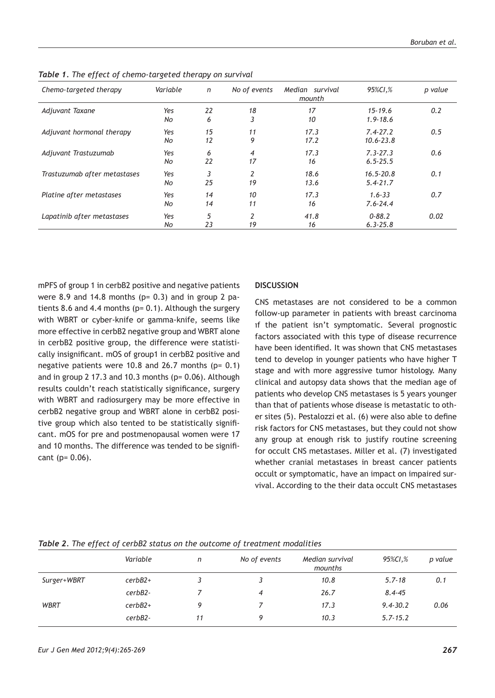| Chemo-targeted therapy       | Variable  | $\mathsf{n}$ | No of events         | Median survival<br>mounth | 95%CI.%                       | p value |
|------------------------------|-----------|--------------|----------------------|---------------------------|-------------------------------|---------|
| Adjuvant Taxane              | Yes<br>No | 22<br>6      | 18<br>3              | 17<br>10                  | $15 - 19.6$<br>$1.9 - 18.6$   | 0.2     |
| Adjuvant hormonal therapy    | Yes<br>No | 15<br>12     | 11<br>9              | 17.3<br>17.2              | $7.4 - 27.2$<br>$10.6 - 23.8$ | 0.5     |
| Adjuvant Trastuzumab         | Yes<br>No | 6<br>22      | $\overline{4}$<br>17 | 17.3<br>16                | $7.3 - 27.3$<br>$6.5 - 25.5$  | 0.6     |
| Trastuzumab after metastases | Yes<br>No | 3<br>25      | $\overline{2}$<br>19 | 18.6<br>13.6              | $16.5 - 20.8$<br>$5.4 - 21.7$ | 0.1     |
| Platine after metastases     | Yes<br>No | 14<br>14     | 10<br>11             | 17.3<br>16                | $1.6 - 33$<br>$7.6 - 24.4$    | 0.7     |
| Lapatinib after metastases   | Yes<br>No | 5<br>23      | 2<br>19              | 41.8<br>16                | $0 - 88.2$<br>$6.3 - 25.8$    | 0.02    |

*Table 1. The effect of chemo-targeted therapy on survival*

mPFS of group 1 in cerbB2 positive and negative patients were 8.9 and 14.8 months ( $p= 0.3$ ) and in group 2 patients 8.6 and 4.4 months (p= 0.1). Although the surgery with WBRT or cyber-knife or gamma-knife, seems like more effective in cerbB2 negative group and WBRT alone in cerbB2 positive group, the difference were statistically insignificant. mOS of group1 in cerbB2 positive and negative patients were 10.8 and 26.7 months  $(p= 0.1)$ and in group 2 17.3 and 10.3 months (p= 0.06). Although results couldn't reach statistically significance, surgery with WBRT and radiosurgery may be more effective in cerbB2 negative group and WBRT alone in cerbB2 positive group which also tented to be statistically significant. mOS for pre and postmenopausal women were 17 and 10 months. The difference was tended to be significant (p= 0.06).

### **DISCUSSION**

CNS metastases are not considered to be a common follow-up parameter in patients with breast carcinoma ıf the patient isn't symptomatic. Several prognostic factors associated with this type of disease recurrence have been identified. It was shown that CNS metastases tend to develop in younger patients who have higher T stage and with more aggressive tumor histology. Many clinical and autopsy data shows that the median age of patients who develop CNS metastases is 5 years younger than that of patients whose disease is metastatic to other sites (5). Pestalozzi et al. (6) were also able to define risk factors for CNS metastases, but they could not show any group at enough risk to justify routine screening for occult CNS metastases. Miller et al. (7) investigated whether cranial metastases in breast cancer patients occult or symptomatic, have an impact on impaired survival. According to the their data occult CNS metastases

| Variable  | n  | No of events | Median survival<br>mounths | 95%CI,%      | p value |
|-----------|----|--------------|----------------------------|--------------|---------|
| $cerbB2+$ |    |              | 10.8                       | $5.7 - 18$   | 0.1     |
| $cerbB2-$ |    | 4            | 26.7                       | $8.4 - 45$   |         |
| $cerbB2+$ |    |              | 17.3                       | $9.4 - 30.2$ | 0.06    |
| $cerbB2-$ | 11 | Q            | 10.3                       | $5.7 - 15.2$ |         |
|           |    |              |                            |              |         |

*Table 2. The effect of cerbB2 status on the outcome of treatment modalities*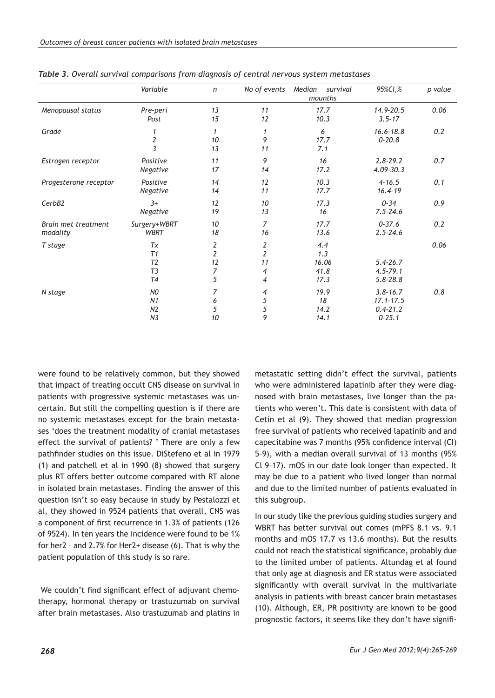|                                 | Variable                                                             | $\mathsf{n}$             | No of events                                     | Median<br>survival<br>mounths       | 95%CI,%                                                     | p value |
|---------------------------------|----------------------------------------------------------------------|--------------------------|--------------------------------------------------|-------------------------------------|-------------------------------------------------------------|---------|
| Menopausal status               | Pre-peri<br>Post                                                     | 13<br>15                 | 11<br>12                                         | 17.7<br>10.3                        | 14.9-20.5<br>$3.5 - 17$                                     | 0.06    |
| Grade                           | 1<br>$\overline{c}$<br>$\overline{3}$                                | $\mathbf{1}$<br>10<br>13 | 1<br>9<br>11                                     | 6<br>17.7<br>7.1                    | $16.6 - 18.8$<br>$0 - 20.8$                                 | 0.2     |
| Estrogen receptor               | Positive<br>Negative                                                 | 11<br>17                 | 9<br>14                                          | 16<br>17.2                          | $2.8 - 29.2$<br>$4.09 - 30.3$                               | 0.7     |
| Progesterone receptor           | Positive<br>Negative                                                 | 14<br>14                 | 12<br>11                                         | 10.3<br>17.7                        | $4 - 16.5$<br>$16.4 - 19$                                   | 0.1     |
| CerbB2                          | $3+$<br>Negative                                                     | 12<br>19                 | 10<br>13                                         | 17.3<br>16                          | $0 - 34$<br>$7.5 - 24.6$                                    | 0.9     |
| Brain met treatment<br>modality | Surgery+WBRT<br><b>WBRT</b>                                          | 10<br>18                 | $\overline{7}$<br>16                             | 17.7<br>13.6                        | $0 - 37.6$<br>$2.5 - 24.6$                                  | 0.2     |
| T stage                         | Tx<br>T1<br>T <sub>2</sub><br>T <sub>3</sub><br>T4                   | 2<br>2<br>12<br>7<br>5   | 2<br>$\overline{2}$<br>11<br>4<br>$\overline{4}$ | 4.4<br>1.3<br>16.06<br>41.8<br>17.3 | $5.4 - 26.7$<br>$4.5 - 79.1$<br>$5.8 - 28.8$                | 0.06    |
| N stage                         | N <sub>0</sub><br>N <sub>1</sub><br>N <sub>2</sub><br>N <sub>3</sub> | 7<br>6<br>5<br>10        | 4<br>5<br>5<br>9                                 | 19.9<br>18<br>14.2<br>14.1          | $3.8 - 16.7$<br>$17.1 - 17.5$<br>$0.4 - 21.2$<br>$0 - 25.1$ | 0.8     |

*Table 3. Overall survival comparisons from diagnosis of central nervous system metastases* 

were found to be relatively common, but they showed that impact of treating occult CNS disease on survival in patients with progressive systemic metastases was uncertain. But still the compelling question is if there are no systemic metastases except for the brain metastases 'does the treatment modality of cranial metastases effect the survival of patients? ' There are only a few pathfinder studies on this issue. DiStefeno et al in 1979 (1) and patchell et al in 1990 (8) showed that surgery plus RT offers better outcome compared with RT alone in isolated brain metastases. Finding the answer of this question isn't so easy because in study by Pestalozzi et al, they showed in 9524 patients that overall, CNS was a component of first recurrence in 1.3% of patients (126 of 9524). In ten years the incidence were found to be 1% for her2 – and 2.7% for Her2+ disease (6). That is why the patient population of this study is so rare.

 We couldn't find significant effect of adjuvant chemotherapy, hormonal therapy or trastuzumab on survival after brain metastases. Also trastuzumab and platins in

metastatic setting didn't effect the survival, patients who were administered lapatinib after they were diagnosed with brain metastases, live longer than the patients who weren't. This date is consistent with data of Cetin et al (9). They showed that median progression free survival of patients who received lapatinib and and capecitabine was 7 months (95% confidence interval (CI) 5–9), with a median overall survival of 13 months (95% Cl 9–17). mOS in our date look longer than expected. It may be due to a patient who lived longer than normal and due to the limited number of patients evaluated in this subgroup.

In our study like the previous guiding studies surgery and WBRT has better survival out comes (mPFS 8.1 vs. 9.1 months and mOS 17.7 vs 13.6 months). But the results could not reach the statistical significance, probably due to the limited umber of patients. Altundag et al found that only age at diagnosis and ER status were associated significantly with overall survival in the multivariate analysis in patients with breast cancer brain metastases (10). Although, ER, PR positivity are known to be good prognostic factors, it seems like they don't have signifi